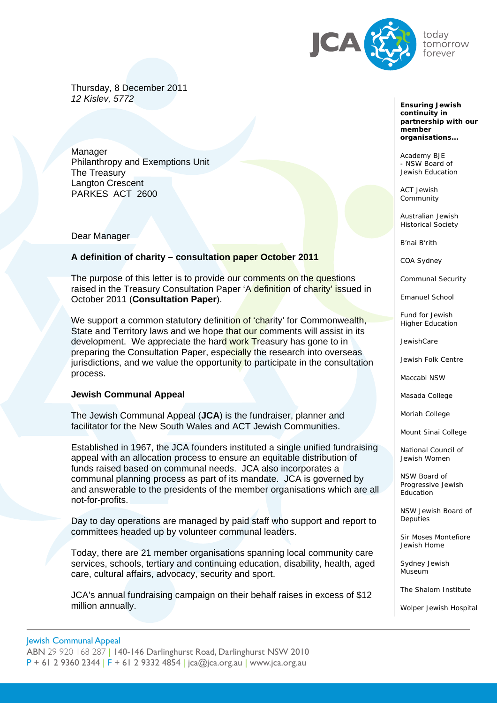

Thursday, 8 December 2011 *12 Kislev, 5772* 

Manager Philanthropy and Exemptions Unit The Treasury Langton Crescent PARKES ACT 2600

Dear Manager

### **A definition of charity – consultation paper October 2011**

The purpose of this letter is to provide our comments on the questions raised in the Treasury Consultation Paper 'A definition of charity' issued in October 2011 (**Consultation Paper**).

We support a common statutory definition of 'charity' for Commonwealth, State and Territory laws and we hope that our comments will assist in its development. We appreciate the hard work Treasury has gone to in preparing the Consultation Paper, especially the research into overseas jurisdictions, and we value the opportunity to participate in the consultation process.

#### **Jewish Communal Appeal**

The Jewish Communal Appeal (**JCA**) is the fundraiser, planner and facilitator for the New South Wales and ACT Jewish Communities.

Established in 1967, the JCA founders instituted a single unified fundraising appeal with an allocation process to ensure an equitable distribution of funds raised based on communal needs. JCA also incorporates a communal planning process as part of its mandate. JCA is governed by and answerable to the presidents of the member organisations which are all not-for-profits.

Day to day operations are managed by paid staff who support and report to committees headed up by volunteer communal leaders.

Today, there are 21 member organisations spanning local community care services, schools, tertiary and continuing education, disability, health, aged care, cultural affairs, advocacy, security and sport.

JCA's annual fundraising campaign on their behalf raises in excess of \$12 million annually.

*Ensuring Jewish continuity in partnership with our member organisations...* 

- NSW Board of Academy BJE Jewish Education

ACT Jewish Community

Australian Jewish Historical Society

B'nai B'rith

COA Sydney

Communal Security

Emanuel School

Fund for Jewish Higher Education

JewishCare

Jewish Folk Centre

Maccabi NSW

Masada College

Moriah College

Mount Sinai College

National Council of Jewish Women

NSW Board of Progressive Jewish **Education** 

NSW Jewish Board of **Deputies** 

Sir Moses Montefiore Jewish Home

Sydney Jewish Museum

The Shalom Institute

Wolper Jewish Hospital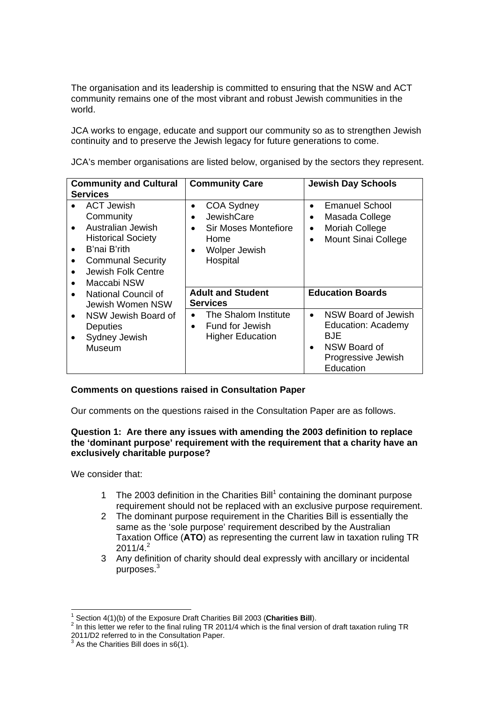The organisation and its leadership is committed to ensuring that the NSW and ACT community remains one of the most vibrant and robust Jewish communities in the world.

JCA works to engage, educate and support our community so as to strengthen Jewish continuity and to preserve the Jewish legacy for future generations to come.

JCA's member organisations are listed below, organised by the sectors they represent.

| <b>Community and Cultural</b><br><b>Services</b>                                                                                                                                            | <b>Community Care</b>                                                                                                                                   | <b>Jewish Day Schools</b>                                                                                                                   |
|---------------------------------------------------------------------------------------------------------------------------------------------------------------------------------------------|---------------------------------------------------------------------------------------------------------------------------------------------------------|---------------------------------------------------------------------------------------------------------------------------------------------|
| <b>ACT Jewish</b><br>Community<br>Australian Jewish<br><b>Historical Society</b><br>B'nai B'rith<br>$\bullet$<br><b>Communal Security</b><br>Jewish Folk Centre<br>Maccabi NSW<br>$\bullet$ | <b>COA Sydney</b><br>$\bullet$<br>JewishCare<br>$\bullet$<br>Sir Moses Montefiore<br>$\bullet$<br>Home<br><b>Wolper Jewish</b><br>$\bullet$<br>Hospital | <b>Emanuel School</b><br>$\bullet$<br>Masada College<br>$\bullet$<br><b>Moriah College</b><br>$\bullet$<br>Mount Sinai College<br>$\bullet$ |
| National Council of<br>$\bullet$<br>Jewish Women NSW                                                                                                                                        | <b>Adult and Student</b><br><b>Services</b>                                                                                                             | <b>Education Boards</b>                                                                                                                     |
| NSW Jewish Board of<br>$\bullet$<br><b>Deputies</b><br>Sydney Jewish<br>Museum                                                                                                              | The Shalom Institute<br>$\bullet$<br>Fund for Jewish<br>$\bullet$<br><b>Higher Education</b>                                                            | NSW Board of Jewish<br>$\bullet$<br>Education: Academy<br>BJE.<br>NSW Board of<br>$\bullet$<br>Progressive Jewish<br>Education              |

## **Comments on questions raised in Consultation Paper**

Our comments on the questions raised in the Consultation Paper are as follows.

## **Question 1: Are there any issues with amending the 2003 definition to replace the 'dominant purpose' requirement with the requirement that a charity have an exclusively charitable purpose?**

We consider that:

- 1 The 2003 definition in the Charities Bill $1$  containing the dominant purpose requirement should not be replaced with an exclusive purpose requirement.
- 2 The dominant purpose requirement in the Charities Bill is essentially the same as the 'sole purpose' requirement described by the Australian Taxation Office (**ATO**) as representing the current law in taxation ruling TR  $2011/4.<sup>2</sup>$
- 3 Any definition of charity should deal expressly with ancillary or incidental  $p$ urposes. $3$

 $\overline{a}$ 1 Section 4(1)(b) of the Exposure Draft Charities Bill 2003 (**Charities Bill**). <sup>2</sup>

In this letter we refer to the final ruling TR 2011/4 which is the final version of draft taxation ruling TR 2011/D2 referred to in the Consultation Paper.<br><sup>3</sup> As the Charities Bill does in s6(1).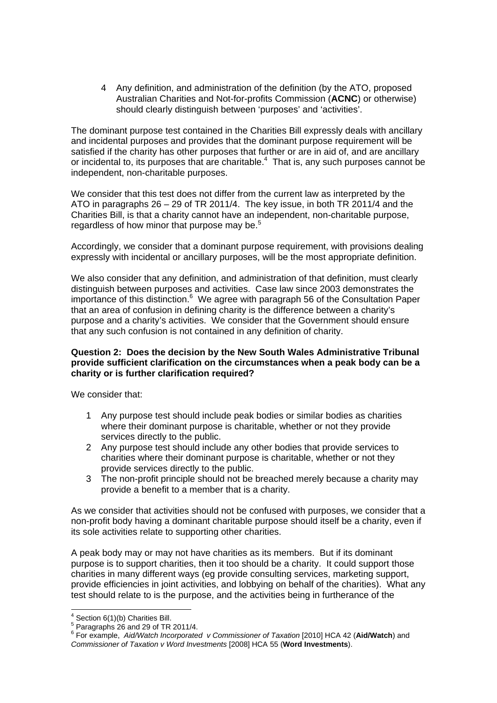4 Any definition, and administration of the definition (by the ATO, proposed Australian Charities and Not-for-profits Commission (**ACNC**) or otherwise) should clearly distinguish between 'purposes' and 'activities'.

The dominant purpose test contained in the Charities Bill expressly deals with ancillary and incidental purposes and provides that the dominant purpose requirement will be satisfied if the charity has other purposes that further or are in aid of, and are ancillary or incidental to, its purposes that are charitable. $4$  That is, any such purposes cannot be independent, non-charitable purposes.

We consider that this test does not differ from the current law as interpreted by the ATO in paragraphs 26 – 29 of TR 2011/4. The key issue, in both TR 2011/4 and the Charities Bill, is that a charity cannot have an independent, non-charitable purpose, regardless of how minor that purpose may be.<sup>5</sup>

Accordingly, we consider that a dominant purpose requirement, with provisions dealing expressly with incidental or ancillary purposes, will be the most appropriate definition.

We also consider that any definition, and administration of that definition, must clearly distinguish between purposes and activities. Case law since 2003 demonstrates the importance of this distinction.<sup>6</sup> We agree with paragraph 56 of the Consultation Paper that an area of confusion in defining charity is the difference between a charity's purpose and a charity's activities. We consider that the Government should ensure that any such confusion is not contained in any definition of charity.

### **Question 2: Does the decision by the New South Wales Administrative Tribunal provide sufficient clarification on the circumstances when a peak body can be a charity or is further clarification required?**

We consider that:

- 1 Any purpose test should include peak bodies or similar bodies as charities where their dominant purpose is charitable, whether or not they provide services directly to the public.
- 2 Any purpose test should include any other bodies that provide services to charities where their dominant purpose is charitable, whether or not they provide services directly to the public.
- 3 The non-profit principle should not be breached merely because a charity may provide a benefit to a member that is a charity.

As we consider that activities should not be confused with purposes, we consider that a non-profit body having a dominant charitable purpose should itself be a charity, even if its sole activities relate to supporting other charities.

A peak body may or may not have charities as its members. But if its dominant purpose is to support charities, then it too should be a charity. It could support those charities in many different ways (eg provide consulting services, marketing support, provide efficiencies in joint activities, and lobbying on behalf of the charities). What any test should relate to is the purpose, and the activities being in furtherance of the

 $\frac{4}{3}$  Section 6(1)(b) Charities Bill.<br>  $\frac{5}{3}$  Personable 26 and 20 of TB 6

 $5$  Paragraphs 26 and 29 of TR 2011/4.

<sup>6</sup> For example, *Aid/Watch Incorporated v Commissioner of Taxation* [2010] HCA 42 (**Aid/Watch**) and *Commissioner of Taxation v Word Investments* [2008] HCA 55 (**Word Investments**).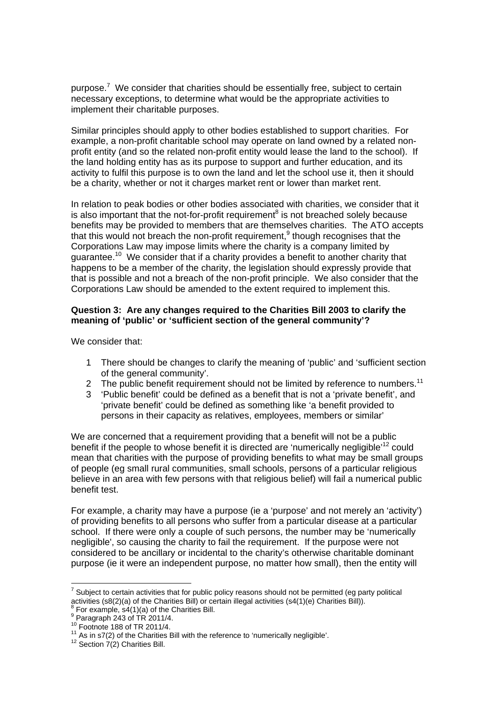purpose.<sup>7</sup> We consider that charities should be essentially free, subject to certain necessary exceptions, to determine what would be the appropriate activities to implement their charitable purposes.

Similar principles should apply to other bodies established to support charities. For example, a non-profit charitable school may operate on land owned by a related nonprofit entity (and so the related non-profit entity would lease the land to the school). If the land holding entity has as its purpose to support and further education, and its activity to fulfil this purpose is to own the land and let the school use it, then it should be a charity, whether or not it charges market rent or lower than market rent.

guarantee.<sup>10</sup> We consider that if a charity provides a benefit to another charity that that is possible and not a breach of the non-profit principle. We also consider that the In relation to peak bodies or other bodies associated with charities, we consider that it is also important that the not-for-profit requirement<sup>8</sup> is not breached solely because benefits may be provided to members that are themselves charities. The ATO accepts that this would not breach the non-profit requirement, $9$  though recognises that the Corporations Law may impose limits where the charity is a company limited by happens to be a member of the charity, the legislation should expressly provide that Corporations Law should be amended to the extent required to implement this.

### **Question 3: Are any changes required to the Charities Bill 2003 to clarify the meaning of 'public' or 'sufficient section of the general community'?**

We consider that:

- 1 There should be changes to clarify the meaning of 'public' and 'sufficient section of the general community'.
- 2 The public benefit requirement should not be limited by reference to numbers.<sup>11</sup>
- 3 'Public benefit' could be defined as a benefit that is not a 'private benefit', and 'private benefit' could be defined as something like 'a benefit provided to persons in their capacity as relatives, employees, members or similar'

We are concerned that a requirement providing that a benefit will not be a public benefit if the people to whose benefit it is directed are 'numerically negligible'<sup>12</sup> could mean that charities with the purpose of providing benefits to what may be small groups of people (eg small rural communities, small schools, persons of a particular religious believe in an area with few persons with that religious belief) will fail a numerical public benefit test.

For example, a charity may have a purpose (ie a 'purpose' and not merely an 'activity') of providing benefits to all persons who suffer from a particular disease at a particular school. If there were only a couple of such persons, the number may be 'numerically negligible', so causing the charity to fail the requirement. If the purpose were not considered to be ancillary or incidental to the charity's otherwise charitable dominant purpose (ie it were an independent purpose, no matter how small), then the entity will

The subject to certain activities that for public policy reasons should not be permitted (eg party political<br><sup>7</sup> Subject to certain activities that for public policy reasons should not be permitted (eg party political activities (s8(2)(a) of the Charities Bill) or certain illegal activities (s4(1)(e) Charities Bill)). 8

For example, s4(1)(a) of the Charities Bill.

 $^9$  Paragraph 243 of TR 2011/4.

<sup>&</sup>lt;sup>10</sup> Footnote 188 of TR 2011/4.<br><sup>11</sup> As in s7(2) of the Charities Bill with the reference to 'numerically negligible'.  $^{11}$  As in s7(2) of the Charities Bill with the reference to 'numerically negligible'.<br><sup>12</sup> Section 7(2) Charities Bill.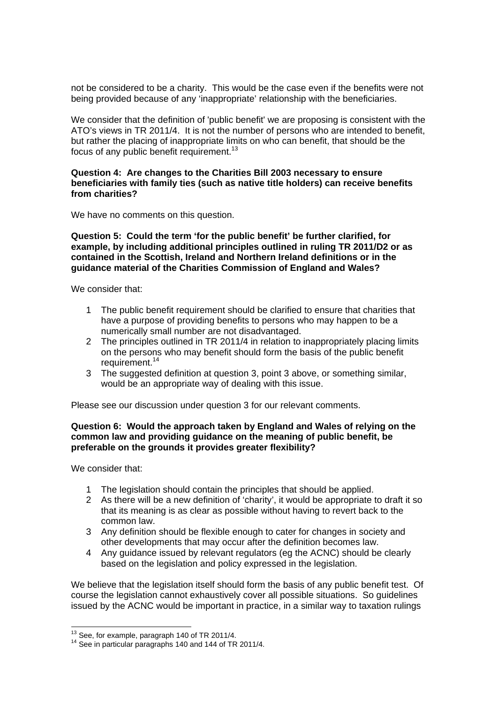not be considered to be a charity. This would be the case even if the benefits were not being provided because of any 'inappropriate' relationship with the beneficiaries.

We consider that the definition of 'public benefit' we are proposing is consistent with the ATO's views in TR 2011/4. It is not the number of persons who are intended to benefit, but rather the placing of inappropriate limits on who can benefit, that should be the focus of any public benefit requirement.<sup>13</sup>

#### **Question 4: Are changes to the Charities Bill 2003 necessary to ensure beneficiaries with family ties (such as native title holders) can receive benefits from charities?**

We have no comments on this question.

#### **Question 5: Could the term 'for the public benefit' be further clarified, for example, by including additional principles outlined in ruling TR 2011/D2 or as contained in the Scottish, Ireland and Northern Ireland definitions or in the guidance material of the Charities Commission of England and Wales?**

We consider that:

- 1 The public benefit requirement should be clarified to ensure that charities that have a purpose of providing benefits to persons who may happen to be a numerically small number are not disadvantaged.
- 2 The principles outlined in TR 2011/4 in relation to inappropriately placing limits on the persons who may benefit should form the basis of the public benefit requirement.<sup>14</sup>
- 3 The suggested definition at question 3, point 3 above, or something similar, would be an appropriate way of dealing with this issue.

Please see our discussion under question 3 for our relevant comments.

### **Question 6: Would the approach taken by England and Wales of relying on the common law and providing guidance on the meaning of public benefit, be preferable on the grounds it provides greater flexibility?**

We consider that:

- 1 The legislation should contain the principles that should be applied.
- 2 As there will be a new definition of 'charity', it would be appropriate to draft it so that its meaning is as clear as possible without having to revert back to the common law.
- 3 Any definition should be flexible enough to cater for changes in society and other developments that may occur after the definition becomes law.
- 4 Any guidance issued by relevant regulators (eg the ACNC) should be clearly based on the legislation and policy expressed in the legislation.

We believe that the legislation itself should form the basis of any public benefit test. Of course the legislation cannot exhaustively cover all possible situations. So guidelines issued by the ACNC would be important in practice, in a similar way to taxation rulings

<sup>&</sup>lt;sup>13</sup> See, for example, paragraph 140 of TR 2011/4.

<sup>&</sup>lt;sup>14</sup> See in particular paragraphs 140 and 144 of TR 2011/4.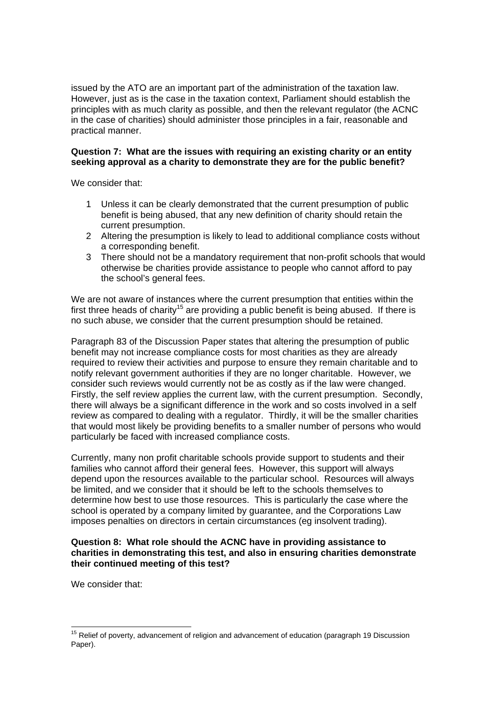issued by the ATO are an important part of the administration of the taxation law. However, just as is the case in the taxation context, Parliament should establish the principles with as much clarity as possible, and then the relevant regulator (the ACNC in the case of charities) should administer those principles in a fair, reasonable and practical manner.

### **Question 7: What are the issues with requiring an existing charity or an entity seeking approval as a charity to demonstrate they are for the public benefit?**

We consider that:

- 1 Unless it can be clearly demonstrated that the current presumption of public benefit is being abused, that any new definition of charity should retain the current presumption.
- 2 Altering the presumption is likely to lead to additional compliance costs without a corresponding benefit.
- 3 There should not be a mandatory requirement that non-profit schools that would otherwise be charities provide assistance to people who cannot afford to pay the school's general fees.

We are not aware of instances where the current presumption that entities within the first three heads of charity<sup>15</sup> are providing a public benefit is being abused. If there is no such abuse, we consider that the current presumption should be retained.

Paragraph 83 of the Discussion Paper states that altering the presumption of public benefit may not increase compliance costs for most charities as they are already required to review their activities and purpose to ensure they remain charitable and to notify relevant government authorities if they are no longer charitable. However, we consider such reviews would currently not be as costly as if the law were changed. Firstly, the self review applies the current law, with the current presumption. Secondly, there will always be a significant difference in the work and so costs involved in a self review as compared to dealing with a regulator. Thirdly, it will be the smaller charities that would most likely be providing benefits to a smaller number of persons who would particularly be faced with increased compliance costs.

Currently, many non profit charitable schools provide support to students and their families who cannot afford their general fees. However, this support will always depend upon the resources available to the particular school. Resources will always be limited, and we consider that it should be left to the schools themselves to determine how best to use those resources. This is particularly the case where the school is operated by a company limited by guarantee, and the Corporations Law imposes penalties on directors in certain circumstances (eg insolvent trading).

#### **Question 8: What role should the ACNC have in providing assistance to charities in demonstrating this test, and also in ensuring charities demonstrate their continued meeting of this test?**

We consider that:

 $\overline{a}$ 

 $15$  Relief of poverty, advancement of religion and advancement of education (paragraph 19 Discussion Paper).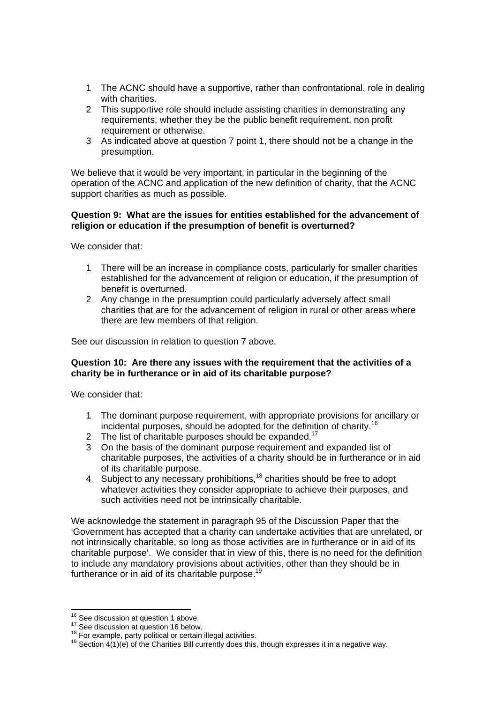- 1 The ACNC should have a supportive, rather than confrontational, role in dealing with charities.
- 2 This supportive role should include assisting charities in demonstrating any requirements, whether they be the public benefit requirement, non profit requirement or otherwise.
- 3 As indicated above at question 7 point 1, there should not be a change in the presumption.

We believe that it would be very important, in particular in the beginning of the operation of the ACNC and application of the new definition of charity, that the ACNC support charities as much as possible.

#### **Question 9: What are the issues for entities established for the advancement of religion or education if the presumption of benefit is overturned?**

We consider that:

- 1 There will be an increase in compliance costs, particularly for smaller charities established for the advancement of religion or education, if the presumption of benefit is overturned.
- 2 Any change in the presumption could particularly adversely affect small charities that are for the advancement of religion in rural or other areas where there are few members of that religion.

See our discussion in relation to question 7 above.

#### **Question 10: Are there any issues with the requirement that the activities of a charity be in furtherance or in aid of its charitable purpose?**

We consider that:

- 1 The dominant purpose requirement, with appropriate provisions for ancillary or incidental purposes, should be adopted for the definition of charity.<sup>16</sup>
- 2 The list of charitable purposes should be expanded.<sup>17</sup>
- 3 On the basis of the dominant purpose requirement and expanded list of charitable purposes, the activities of a charity should be in furtherance or in aid of its charitable purpose.
- 4 Subject to any necessary prohibitions,  $18$  charities should be free to adopt whatever activities they consider appropriate to achieve their purposes, and such activities need not be intrinsically charitable.

We acknowledge the statement in paragraph 95 of the Discussion Paper that the 'Government has accepted that a charity can undertake activities that are unrelated, or not intrinsically charitable, so long as those activities are in furtherance or in aid of its charitable purpose'. We consider that in view of this, there is no need for the definition to include any mandatory provisions about activities, other than they should be in furtherance or in aid of its charitable purpose.<sup>19</sup>

<sup>&</sup>lt;sup>16</sup> See discussion at question 1 above.

<sup>&</sup>lt;sup>16</sup> See discussion at question 1 above.<br><sup>17</sup> See discussion at question 16 below.<br><sup>18</sup> For example, party political or certain illegal activities.<br><sup>18</sup> Section 4(1)(e) of the Charities Bill currently does this, though ex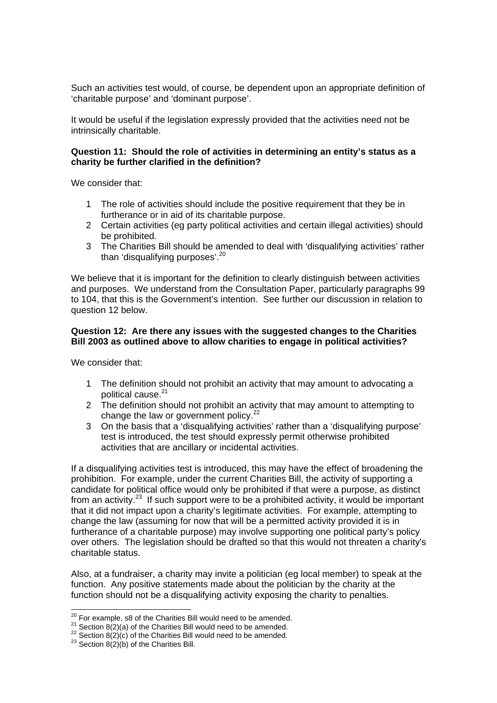Such an activities test would, of course, be dependent upon an appropriate definition of 'charitable purpose' and 'dominant purpose'.

It would be useful if the legislation expressly provided that the activities need not be intrinsically charitable.

### **Question 11: Should the role of activities in determining an entity's status as a charity be further clarified in the definition?**

We consider that:

- 1 The role of activities should include the positive requirement that they be in furtherance or in aid of its charitable purpose.
- 2 Certain activities (eg party political activities and certain illegal activities) should be prohibited.
- 3 The Charities Bill should be amended to deal with 'disqualifying activities' rather than 'disqualifying purposes'. $20$

We believe that it is important for the definition to clearly distinguish between activities and purposes. We understand from the Consultation Paper, particularly paragraphs 99 to 104, that this is the Government's intention. See further our discussion in relation to question 12 below.

### **Question 12: Are there any issues with the suggested changes to the Charities Bill 2003 as outlined above to allow charities to engage in political activities?**

We consider that:

- 1 The definition should not prohibit an activity that may amount to advocating a political cause.<sup>21</sup>
- 2 The definition should not prohibit an activity that may amount to attempting to change the law or government policy. $22$
- 3 On the basis that a 'disqualifying activities' rather than a 'disqualifying purpose' test is introduced, the test should expressly permit otherwise prohibited activities that are ancillary or incidental activities.

If a disqualifying activities test is introduced, this may have the effect of broadening the prohibition. For example, under the current Charities Bill, the activity of supporting a candidate for political office would only be prohibited if that were a purpose, as distinct from an activity.<sup>23</sup> If such support were to be a prohibited activity, it would be important that it did not impact upon a charity's legitimate activities. For example, attempting to change the law (assuming for now that will be a permitted activity provided it is in furtherance of a charitable purpose) may involve supporting one political party's policy over others. The legislation should be drafted so that this would not threaten a charity's charitable status.

Also, at a fundraiser, a charity may invite a politician (eg local member) to speak at the function. Any positive statements made about the politician by the charity at the function should not be a disqualifying activity exposing the charity to penalties.

<sup>&</sup>lt;sup>20</sup> For example, s8 of the Charities Bill would need to be amended.

<sup>&</sup>lt;sup>21</sup> Section 8(2)(a) of the Charities Bill would need to be amended.<br><sup>22</sup> Section 8(2)(c) of the Charities Bill would need to be amended.<br><sup>23</sup> Section 8(2)(b) of the Charities Bill.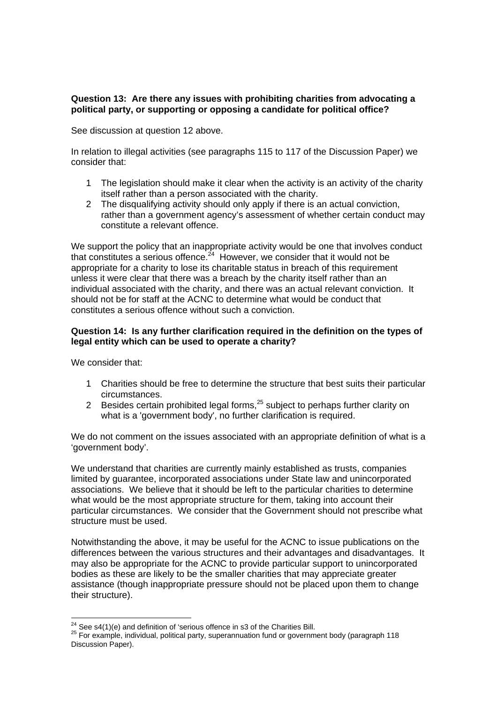## **Question 13: Are there any issues with prohibiting charities from advocating a political party, or supporting or opposing a candidate for political office?**

See discussion at question 12 above.

In relation to illegal activities (see paragraphs 115 to 117 of the Discussion Paper) we consider that:

- 1 The legislation should make it clear when the activity is an activity of the charity itself rather than a person associated with the charity.
- 2 The disqualifying activity should only apply if there is an actual conviction, rather than a government agency's assessment of whether certain conduct may constitute a relevant offence.

We support the policy that an inappropriate activity would be one that involves conduct that constitutes a serious offence.<sup>24</sup> However, we consider that it would not be appropriate for a charity to lose its charitable status in breach of this requirement unless it were clear that there was a breach by the charity itself rather than an individual associated with the charity, and there was an actual relevant conviction. It should not be for staff at the ACNC to determine what would be conduct that constitutes a serious offence without such a conviction.

## **Question 14: Is any further clarification required in the definition on the types of legal entity which can be used to operate a charity?**

We consider that:

- 1 Charities should be free to determine the structure that best suits their particular circumstances.
- 2 Besides certain prohibited legal forms,  $25$  subject to perhaps further clarity on what is a 'government body', no further clarification is required.

We do not comment on the issues associated with an appropriate definition of what is a 'government body'.

We understand that charities are currently mainly established as trusts, companies limited by guarantee, incorporated associations under State law and unincorporated associations. We believe that it should be left to the particular charities to determine what would be the most appropriate structure for them, taking into account their particular circumstances. We consider that the Government should not prescribe what structure must be used.

Notwithstanding the above, it may be useful for the ACNC to issue publications on the differences between the various structures and their advantages and disadvantages. It may also be appropriate for the ACNC to provide particular support to unincorporated bodies as these are likely to be the smaller charities that may appreciate greater assistance (though inappropriate pressure should not be placed upon them to change their structure).

 $24$  See s4(1)(e) and definition of 'serious offence in s3 of the Charities Bill.

 $25$  For example, individual, political party, superannuation fund or government body (paragraph 118 Discussion Paper).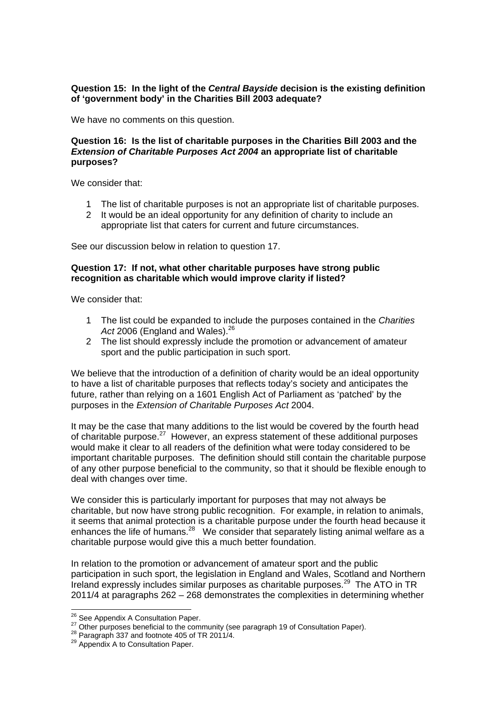## **Question 15: In the light of the** *Central Bayside* **decision is the existing definition of 'government body' in the Charities Bill 2003 adequate?**

We have no comments on this question.

### **Question 16: Is the list of charitable purposes in the Charities Bill 2003 and the**  *Extension of Charitable Purposes Act 2004* **an appropriate list of charitable purposes?**

We consider that:

- 1 The list of charitable purposes is not an appropriate list of charitable purposes.
- 2 It would be an ideal opportunity for any definition of charity to include an appropriate list that caters for current and future circumstances.

See our discussion below in relation to question 17.

## **Question 17: If not, what other charitable purposes have strong public recognition as charitable which would improve clarity if listed?**

We consider that:

- 1 The list could be expanded to include the purposes contained in the *Charities*  Act 2006 (England and Wales).<sup>26</sup>
- 2 The list should expressly include the promotion or advancement of amateur sport and the public participation in such sport.

We believe that the introduction of a definition of charity would be an ideal opportunity to have a list of charitable purposes that reflects today's society and anticipates the future, rather than relying on a 1601 English Act of Parliament as 'patched' by the purposes in the *Extension of Charitable Purposes Act* 2004.

It may be the case that many additions to the list would be covered by the fourth head of charitable purpose.27 However, an express statement of these additional purposes would make it clear to all readers of the definition what were today considered to be important charitable purposes. The definition should still contain the charitable purpose of any other purpose beneficial to the community, so that it should be flexible enough to deal with changes over time.

We consider this is particularly important for purposes that may not always be charitable, but now have strong public recognition. For example, in relation to animals, it seems that animal protection is a charitable purpose under the fourth head because it enhances the life of numans. $28$  We consider that separately listing animal welfare as a charitable purpose would give this a much better foundation.

In relation to the promotion or advancement of amateur sport and the public participation in such sport, the legislation in England and Wales, Scotland and Northern Ireland expressly includes similar purposes as charitable purposes. $^{29}$  The ATO in TR 2011/4 at paragraphs 262 – 268 demonstrates the complexities in determining whether

<sup>&</sup>lt;sup>26</sup> See Appendix A Consultation Paper.

<sup>&</sup>lt;sup>27</sup> Other purposes beneficial to the community (see paragraph 19 of Consultation Paper).<br><sup>28</sup> Paragraph 337 and footnote 405 of TR 2011/4.<br><sup>29</sup> Appendix A to Consultation Paper.

 $28$  Paragraph 337 and footnote 405 of TR 2011/4.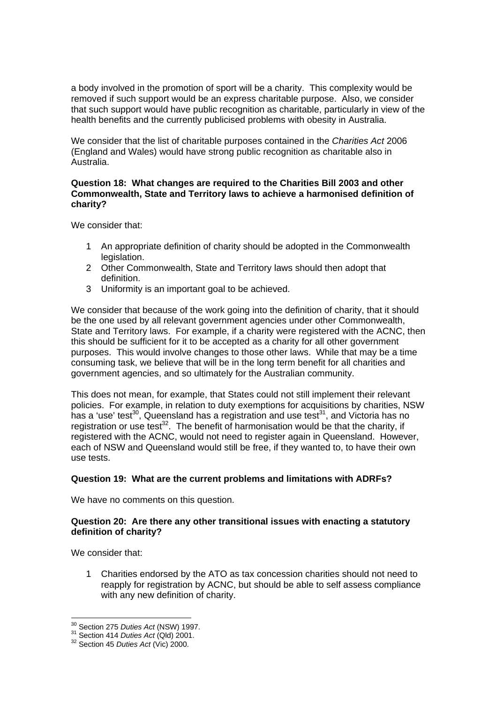a body involved in the promotion of sport will be a charity. This complexity would be removed if such support would be an express charitable purpose. Also, we consider that such support would have public recognition as charitable, particularly in view of the health benefits and the currently publicised problems with obesity in Australia.

We consider that the list of charitable purposes contained in the *Charities Act* 2006 (England and Wales) would have strong public recognition as charitable also in Australia.

### **Question 18: What changes are required to the Charities Bill 2003 and other Commonwealth, State and Territory laws to achieve a harmonised definition of charity?**

We consider that:

- 1 An appropriate definition of charity should be adopted in the Commonwealth legislation.
- 2 Other Commonwealth, State and Territory laws should then adopt that definition.
- 3 Uniformity is an important goal to be achieved.

We consider that because of the work going into the definition of charity, that it should be the one used by all relevant government agencies under other Commonwealth, State and Territory laws. For example, if a charity were registered with the ACNC, then this should be sufficient for it to be accepted as a charity for all other government purposes. This would involve changes to those other laws. While that may be a time consuming task, we believe that will be in the long term benefit for all charities and government agencies, and so ultimately for the Australian community.

This does not mean, for example, that States could not still implement their relevant policies. For example, in relation to duty exemptions for acquisitions by charities, NSW has a 'use' test<sup>30</sup>, Queensland has a registration and use test<sup>31</sup>, and Victoria has no registration or use test $32$ . The benefit of harmonisation would be that the charity, if registered with the ACNC, would not need to register again in Queensland. However, each of NSW and Queensland would still be free, if they wanted to, to have their own use tests.

# **Question 19: What are the current problems and limitations with ADRFs?**

We have no comments on this question.

## **Question 20: Are there any other transitional issues with enacting a statutory definition of charity?**

We consider that:

1 Charities endorsed by the ATO as tax concession charities should not need to reapply for registration by ACNC, but should be able to self assess compliance with any new definition of charity.

<sup>&</sup>lt;sup>30</sup> Section 275 Duties Act (NSW) 1997.

<sup>30</sup> Section 275 *Duties Act* (NSW) 1997. 31 Section 414 *Duties Act* (Qld) 2001. 32 Section 45 *Duties Act* (Vic) 2000.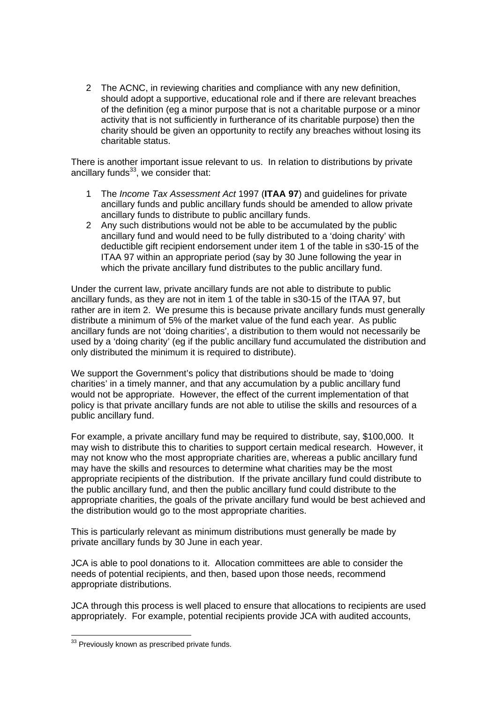2 The ACNC, in reviewing charities and compliance with any new definition, should adopt a supportive, educational role and if there are relevant breaches of the definition (eg a minor purpose that is not a charitable purpose or a minor activity that is not sufficiently in furtherance of its charitable purpose) then the charity should be given an opportunity to rectify any breaches without losing its charitable status.

There is another important issue relevant to us. In relation to distributions by private ancillary funds $33$ , we consider that:

- 1 The *Income Tax Assessment Act* 1997 (**ITAA 97**) and guidelines for private ancillary funds and public ancillary funds should be amended to allow private ancillary funds to distribute to public ancillary funds.
- 2 Any such distributions would not be able to be accumulated by the public ancillary fund and would need to be fully distributed to a 'doing charity' with deductible gift recipient endorsement under item 1 of the table in s30-15 of the ITAA 97 within an appropriate period (say by 30 June following the year in which the private ancillary fund distributes to the public ancillary fund.

Under the current law, private ancillary funds are not able to distribute to public ancillary funds, as they are not in item 1 of the table in s30-15 of the ITAA 97, but rather are in item 2. We presume this is because private ancillary funds must generally distribute a minimum of 5% of the market value of the fund each year. As public ancillary funds are not 'doing charities', a distribution to them would not necessarily be used by a 'doing charity' (eg if the public ancillary fund accumulated the distribution and only distributed the minimum it is required to distribute).

We support the Government's policy that distributions should be made to 'doing charities' in a timely manner, and that any accumulation by a public ancillary fund would not be appropriate. However, the effect of the current implementation of that policy is that private ancillary funds are not able to utilise the skills and resources of a public ancillary fund.

For example, a private ancillary fund may be required to distribute, say, \$100,000. It may wish to distribute this to charities to support certain medical research. However, it may not know who the most appropriate charities are, whereas a public ancillary fund may have the skills and resources to determine what charities may be the most appropriate recipients of the distribution. If the private ancillary fund could distribute to the public ancillary fund, and then the public ancillary fund could distribute to the appropriate charities, the goals of the private ancillary fund would be best achieved and the distribution would go to the most appropriate charities.

This is particularly relevant as minimum distributions must generally be made by private ancillary funds by 30 June in each year.

JCA is able to pool donations to it. Allocation committees are able to consider the needs of potential recipients, and then, based upon those needs, recommend appropriate distributions.

JCA through this process is well placed to ensure that allocations to recipients are used appropriately. For example, potential recipients provide JCA with audited accounts,

 $\overline{a}$  $33$  Previously known as prescribed private funds.